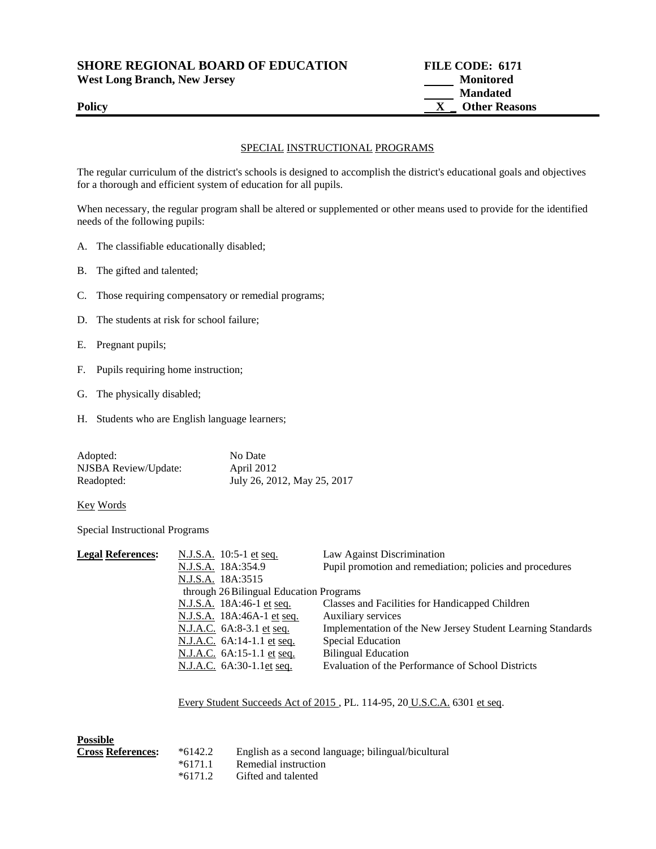| <b>SHORE REGIONAL BOARD OF EDUCATION</b> | <b>FILE CODE: 6171</b> |
|------------------------------------------|------------------------|
| <b>West Long Branch, New Jersey</b>      | <b>Monitored</b>       |
|                                          | <b>Mandated</b>        |
| <b>Policy</b>                            | <b>Other Reasons</b>   |
|                                          |                        |

## SPECIAL INSTRUCTIONAL PROGRAMS

The regular curriculum of the district's schools is designed to accomplish the district's educational goals and objectives for a thorough and efficient system of education for all pupils.

When necessary, the regular program shall be altered or supplemented or other means used to provide for the identified needs of the following pupils:

- A. The classifiable educationally disabled;
- B. The gifted and talented;
- C. Those requiring compensatory or remedial programs;
- D. The students at risk for school failure;
- E. Pregnant pupils;
- F. Pupils requiring home instruction;
- G. The physically disabled;
- H. Students who are English language learners;

| Adopted:             | No Date                     |
|----------------------|-----------------------------|
| NJSBA Review/Update: | April 2012                  |
| Readopted:           | July 26, 2012, May 25, 2017 |

## Key Words

Special Instructional Programs

| <b>Legal References:</b> | N.J.S.A. 10:5-1 et seq.                 | Law Against Discrimination                                  |  |  |  |
|--------------------------|-----------------------------------------|-------------------------------------------------------------|--|--|--|
|                          | N.J.S.A. 18A:354.9                      | Pupil promotion and remediation; policies and procedures    |  |  |  |
|                          | N.J.S.A. 18A:3515                       |                                                             |  |  |  |
|                          | through 26 Bilingual Education Programs |                                                             |  |  |  |
|                          | <u>N.J.S.A.</u> 18A:46-1 <u>et seq.</u> | Classes and Facilities for Handicapped Children             |  |  |  |
|                          | N.J.S.A. 18A:46A-1 et seq.              | Auxiliary services                                          |  |  |  |
|                          | N.J.A.C. 6A:8-3.1 et seq.               | Implementation of the New Jersey Student Learning Standards |  |  |  |
|                          | N.J.A.C. 6A:14-1.1 et seq.              | Special Education                                           |  |  |  |
|                          | N.J.A.C. 6A:15-1.1 et seq.              | <b>Bilingual Education</b>                                  |  |  |  |
|                          | N.J.A.C. 6A:30-1.1et seq.               | Evaluation of the Performance of School Districts           |  |  |  |
|                          |                                         |                                                             |  |  |  |

Every Student Succeeds Act of 2015 , PL. 114-95, 20 U.S.C.A. 6301 et seq.

| Possible                 |           |                                                    |
|--------------------------|-----------|----------------------------------------------------|
| <b>Cross References:</b> | $*6142.2$ | English as a second language; bilingual/bicultural |
|                          | $*6171.1$ | Remedial instruction                               |
|                          | $*6171.2$ | Gifted and talented                                |
|                          |           |                                                    |